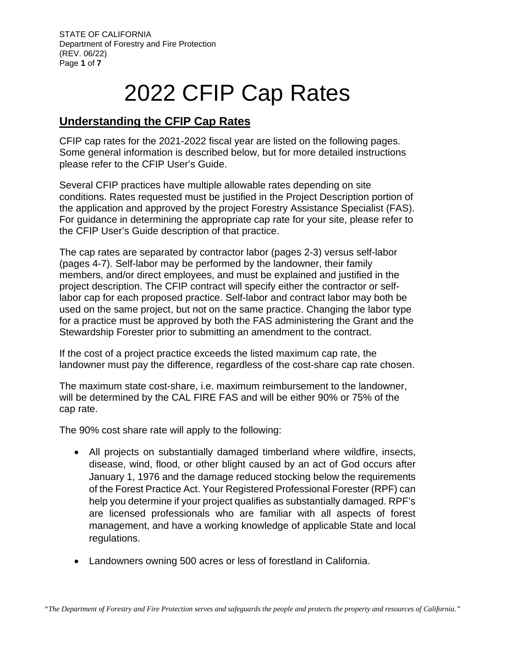## 2022 CFIP Cap Rates

## **Understanding the CFIP Cap Rates**

CFIP cap rates for the 2021-2022 fiscal year are listed on the following pages. Some general information is described below, but for more detailed instructions please refer to the CFIP User's Guide.

Several CFIP practices have multiple allowable rates depending on site conditions. Rates requested must be justified in the Project Description portion of the application and approved by the project Forestry Assistance Specialist (FAS). For guidance in determining the appropriate cap rate for your site, please refer to the CFIP User's Guide description of that practice.

The cap rates are separated by contractor labor (pages 2-3) versus self-labor (pages 4-7). Self-labor may be performed by the landowner, their family members, and/or direct employees, and must be explained and justified in the project description. The CFIP contract will specify either the contractor or selflabor cap for each proposed practice. Self-labor and contract labor may both be used on the same project, but not on the same practice. Changing the labor type for a practice must be approved by both the FAS administering the Grant and the Stewardship Forester prior to submitting an amendment to the contract.

If the cost of a project practice exceeds the listed maximum cap rate, the landowner must pay the difference, regardless of the cost-share cap rate chosen.

The maximum state cost-share, i.e. maximum reimbursement to the landowner, will be determined by the CAL FIRE FAS and will be either 90% or 75% of the cap rate.

The 90% cost share rate will apply to the following:

- All projects on substantially damaged timberland where wildfire, insects, disease, wind, flood, or other blight caused by an act of God occurs after January 1, 1976 and the damage reduced stocking below the requirements of the Forest Practice Act. Your Registered Professional Forester (RPF) can help you determine if your project qualifies as substantially damaged. RPF's are licensed professionals who are familiar with all aspects of forest management, and have a working knowledge of applicable State and local regulations.
- Landowners owning 500 acres or less of forestland in California.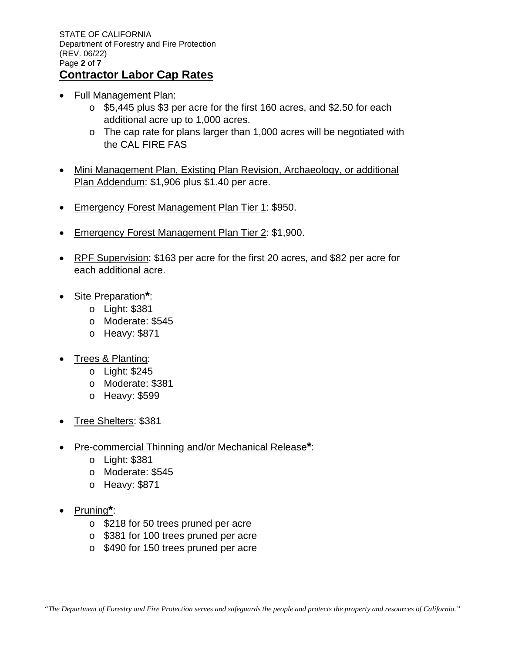STATE OF CALIFORNIA Department of Forestry and Fire Protection (REV. 06/22) Page **2** of **7 Contractor Labor Cap Rates**

- 
- Full Management Plan:
	- o \$5,445 plus \$3 per acre for the first 160 acres, and \$2.50 for each additional acre up to 1,000 acres.
	- $\circ$  The cap rate for plans larger than 1,000 acres will be negotiated with the CAL FIRE FAS
- Mini Management Plan, Existing Plan Revision, Archaeology, or additional Plan Addendum: \$1,906 plus \$1.40 per acre.
- Emergency Forest Management Plan Tier 1: \$950.
- Emergency Forest Management Plan Tier 2: \$1,900.
- RPF Supervision: \$163 per acre for the first 20 acres, and \$82 per acre for each additional acre.
- Site Preparation**\***:
	- o Light: \$381
	- o Moderate: \$545
	- o Heavy: \$871
- Trees & Planting:
	- o Light: \$245
	- o Moderate: \$381
	- o Heavy: \$599
- Tree Shelters: \$381
- Pre-commercial Thinning and/or Mechanical Release**\***:
	- o Light: \$381
	- o Moderate: \$545
	- o Heavy: \$871
- Pruning**\***:
	- o \$218 for 50 trees pruned per acre
	- o \$381 for 100 trees pruned per acre
	- o \$490 for 150 trees pruned per acre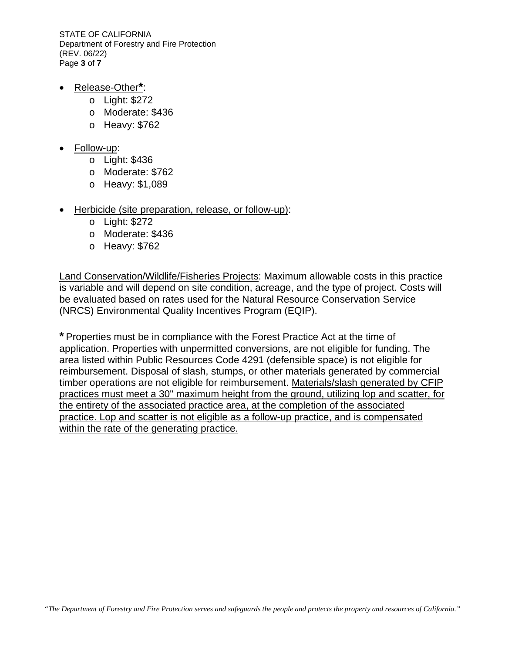STATE OF CALIFORNIA Department of Forestry and Fire Protection (REV. 06/22) Page **3** of **7**

- Release-Other**\***:
	- o Light: \$272
	- o Moderate: \$436
	- o Heavy: \$762
- Follow-up:
	- o Light: \$436
	- o Moderate: \$762
	- o Heavy: \$1,089
- Herbicide (site preparation, release, or follow-up):
	- o Light: \$272
	- o Moderate: \$436
	- o Heavy: \$762

Land Conservation/Wildlife/Fisheries Projects: Maximum allowable costs in this practice is variable and will depend on site condition, acreage, and the type of project. Costs will be evaluated based on rates used for the Natural Resource Conservation Service (NRCS) Environmental Quality Incentives Program (EQIP).

**\*** Properties must be in compliance with the Forest Practice Act at the time of application. Properties with unpermitted conversions, are not eligible for funding. The area listed within Public Resources Code 4291 (defensible space) is not eligible for reimbursement. Disposal of slash, stumps, or other materials generated by commercial timber operations are not eligible for reimbursement. Materials/slash generated by CFIP practices must meet a 30" maximum height from the ground, utilizing lop and scatter, for the entirety of the associated practice area, at the completion of the associated practice. Lop and scatter is not eligible as a follow-up practice, and is compensated within the rate of the generating practice.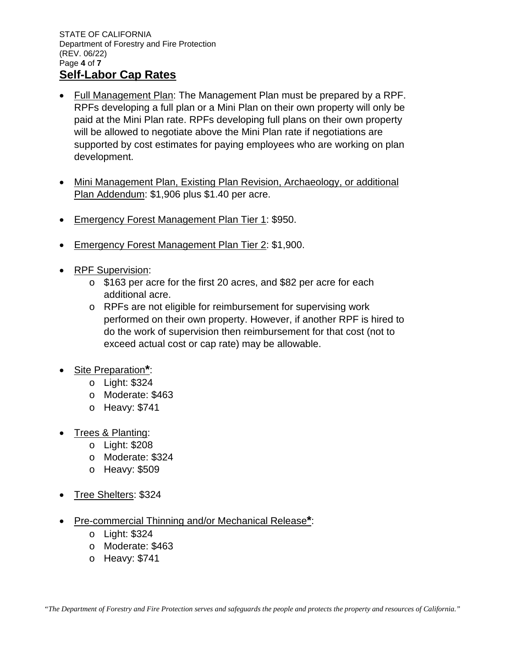- Full Management Plan: The Management Plan must be prepared by a RPF. RPFs developing a full plan or a Mini Plan on their own property will only be paid at the Mini Plan rate. RPFs developing full plans on their own property will be allowed to negotiate above the Mini Plan rate if negotiations are supported by cost estimates for paying employees who are working on plan development.
- Mini Management Plan, Existing Plan Revision, Archaeology, or additional Plan Addendum: \$1,906 plus \$1.40 per acre.
- Emergency Forest Management Plan Tier 1: \$950.
- Emergency Forest Management Plan Tier 2: \$1,900.
- RPF Supervision:
	- o \$163 per acre for the first 20 acres, and \$82 per acre for each additional acre.
	- o RPFs are not eligible for reimbursement for supervising work performed on their own property. However, if another RPF is hired to do the work of supervision then reimbursement for that cost (not to exceed actual cost or cap rate) may be allowable.
- Site Preparation**\***:
	- o Light: \$324
	- o Moderate: \$463
	- o Heavy: \$741
- Trees & Planting:
	- o Light: \$208
	- o Moderate: \$324
	- o Heavy: \$509
- Tree Shelters: \$324
- Pre-commercial Thinning and/or Mechanical Release**\***:
	- o Light: \$324
	- o Moderate: \$463
	- o Heavy: \$741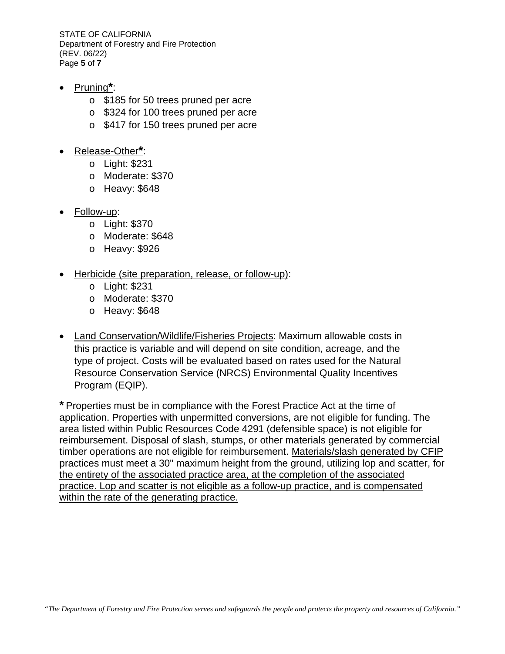STATE OF CALIFORNIA Department of Forestry and Fire Protection (REV. 06/22) Page **5** of **7**

- Pruning**\***:
	- o \$185 for 50 trees pruned per acre
	- o \$324 for 100 trees pruned per acre
	- o \$417 for 150 trees pruned per acre
- Release-Other**\***:
	- o Light: \$231
	- o Moderate: \$370
	- o Heavy: \$648
- Follow-up:
	- o Light: \$370
	- o Moderate: \$648
	- o Heavy: \$926
- Herbicide (site preparation, release, or follow-up):
	- o Light: \$231
	- o Moderate: \$370
	- o Heavy: \$648
- Land Conservation/Wildlife/Fisheries Projects: Maximum allowable costs in this practice is variable and will depend on site condition, acreage, and the type of project. Costs will be evaluated based on rates used for the Natural Resource Conservation Service (NRCS) Environmental Quality Incentives Program (EQIP).

**\*** Properties must be in compliance with the Forest Practice Act at the time of application. Properties with unpermitted conversions, are not eligible for funding. The area listed within Public Resources Code 4291 (defensible space) is not eligible for reimbursement. Disposal of slash, stumps, or other materials generated by commercial timber operations are not eligible for reimbursement. Materials/slash generated by CFIP practices must meet a 30" maximum height from the ground, utilizing lop and scatter, for the entirety of the associated practice area, at the completion of the associated practice. Lop and scatter is not eligible as a follow-up practice, and is compensated within the rate of the generating practice.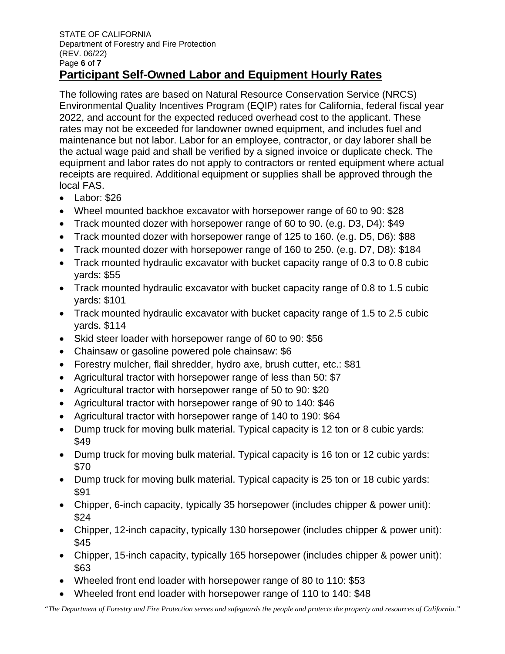The following rates are based on Natural Resource Conservation Service (NRCS) Environmental Quality Incentives Program (EQIP) rates for California, federal fiscal year 2022, and account for the expected reduced overhead cost to the applicant. These rates may not be exceeded for landowner owned equipment, and includes fuel and maintenance but not labor. Labor for an employee, contractor, or day laborer shall be the actual wage paid and shall be verified by a signed invoice or duplicate check. The equipment and labor rates do not apply to contractors or rented equipment where actual receipts are required. Additional equipment or supplies shall be approved through the local FAS.

- Labor: \$26
- Wheel mounted backhoe excavator with horsepower range of 60 to 90: \$28
- Track mounted dozer with horsepower range of 60 to 90. (e.g. D3, D4): \$49
- Track mounted dozer with horsepower range of 125 to 160. (e.g. D5, D6): \$88
- Track mounted dozer with horsepower range of 160 to 250. (e.g. D7, D8): \$184
- Track mounted hydraulic excavator with bucket capacity range of 0.3 to 0.8 cubic yards: \$55
- Track mounted hydraulic excavator with bucket capacity range of 0.8 to 1.5 cubic yards: \$101
- Track mounted hydraulic excavator with bucket capacity range of 1.5 to 2.5 cubic yards. \$114
- Skid steer loader with horsepower range of 60 to 90: \$56
- Chainsaw or gasoline powered pole chainsaw: \$6
- Forestry mulcher, flail shredder, hydro axe, brush cutter, etc.: \$81
- Agricultural tractor with horsepower range of less than 50: \$7
- Agricultural tractor with horsepower range of 50 to 90: \$20
- Agricultural tractor with horsepower range of 90 to 140: \$46
- Agricultural tractor with horsepower range of 140 to 190: \$64
- Dump truck for moving bulk material. Typical capacity is 12 ton or 8 cubic yards: \$49
- Dump truck for moving bulk material. Typical capacity is 16 ton or 12 cubic yards: \$70
- Dump truck for moving bulk material. Typical capacity is 25 ton or 18 cubic yards: \$91
- Chipper, 6-inch capacity, typically 35 horsepower (includes chipper & power unit): \$24
- Chipper, 12-inch capacity, typically 130 horsepower (includes chipper & power unit): \$45
- Chipper, 15-inch capacity, typically 165 horsepower (includes chipper & power unit): \$63
- Wheeled front end loader with horsepower range of 80 to 110: \$53
- Wheeled front end loader with horsepower range of 110 to 140: \$48

*"The Department of Forestry and Fire Protection serves and safeguards the people and protects the property and resources of California."*